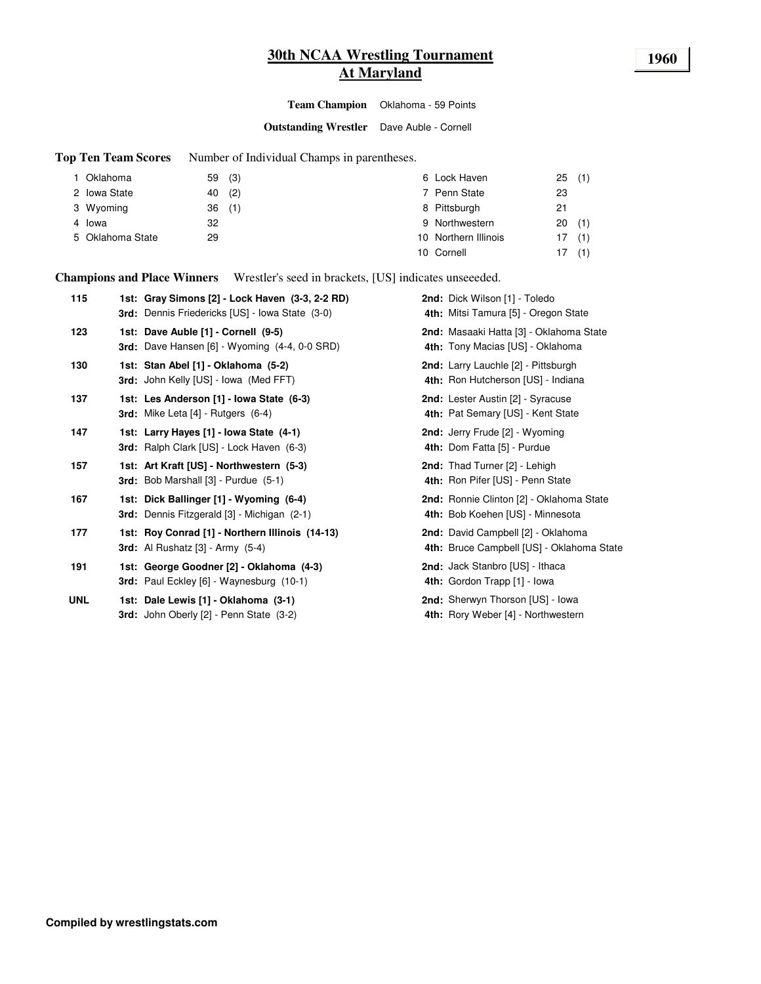# **30th NCAA Wrestling Tournament 1960 At Maryland**

**Team Champion** Oklahoma - 59 Points

**Outstanding Wrestler** Dave Auble - Cornell

**Top Ten Team Scores** Number of Individual Champs in parentheses.

| 1 Oklahoma       | 59(3) |     | 6 Lock Haven         | 25(1) |     |
|------------------|-------|-----|----------------------|-------|-----|
| 2 Iowa State     | 40    | (2) | 7 Penn State         | 23    |     |
| 3 Wyoming        | 36(1) |     | 8 Pittsburgh         | 21    |     |
| 4 Iowa           | 32    |     | 9 Northwestern       | 20    | (1) |
| 5 Oklahoma State | 29    |     | 10 Northern Illinois | 17    | (1) |
|                  |       |     | 10 Cornell           | 17    | (1) |

**Champions and Place Winners** Wrestler's seed in brackets, [US] indicates unseeeded.

| 115        | 1st: Gray Simons [2] - Lock Haven (3-3, 2-2 RD)<br>3rd: Dennis Friedericks [US] - Iowa State (3-0) | 2nd: Dick Wilson [1] - Toledo<br>4th: Mitsi Tamura [5] - Oregon State           |
|------------|----------------------------------------------------------------------------------------------------|---------------------------------------------------------------------------------|
| 123        | 1st: Dave Auble [1] - Cornell (9-5)<br>3rd: Dave Hansen [6] - Wyoming (4-4, 0-0 SRD)               | 2nd: Masaaki Hatta [3] - Oklahoma State<br>4th: Tony Macias [US] - Oklahoma     |
| 130        | 1st: Stan Abel [1] - Oklahoma (5-2)<br>3rd: John Kelly [US] - Iowa (Med FFT)                       | 2nd: Larry Lauchle [2] - Pittsburgh<br>4th: Ron Hutcherson [US] - Indiana       |
| 137        | 1st: Les Anderson [1] - Iowa State (6-3)<br><b>3rd:</b> Mike Leta $[4]$ - Rutgers $(6-4)$          | 2nd: Lester Austin [2] - Syracuse<br>4th: Pat Semary [US] - Kent State          |
| 147        | 1st: Larry Hayes [1] - Iowa State (4-1)<br>3rd: Ralph Clark [US] - Lock Haven (6-3)                | 2nd: Jerry Frude [2] - Wyoming<br>4th: Dom Fatta [5] - Purdue                   |
| 157        | 1st: Art Kraft [US] - Northwestern (5-3)<br>3rd: Bob Marshall [3] - Purdue (5-1)                   | 2nd: Thad Turner [2] - Lehigh<br>4th: Ron Pifer [US] - Penn State               |
| 167        | 1st: Dick Ballinger [1] - Wyoming (6-4)<br><b>3rd:</b> Dennis Fitzgerald [3] - Michigan (2-1)      | 2nd: Ronnie Clinton [2] - Oklahoma State<br>4th: Bob Koehen [US] - Minnesota    |
| 177        | 1st: Roy Conrad [1] - Northern Illinois (14-13)<br><b>3rd:</b> Al Rushatz $[3]$ - Army $(5-4)$     | 2nd: David Campbell [2] - Oklahoma<br>4th: Bruce Campbell [US] - Oklahoma State |
| 191        | 1st: George Goodner [2] - Oklahoma (4-3)<br>3rd: Paul Eckley [6] - Waynesburg (10-1)               | 2nd: Jack Stanbro [US] - Ithaca<br>4th: Gordon Trapp [1] - Iowa                 |
| <b>UNL</b> | 1st: Dale Lewis [1] - Oklahoma (3-1)<br>3rd: John Oberly [2] - Penn State (3-2)                    | 2nd: Sherwyn Thorson [US] - Iowa<br>4th: Rory Weber [4] - Northwestern          |
|            |                                                                                                    |                                                                                 |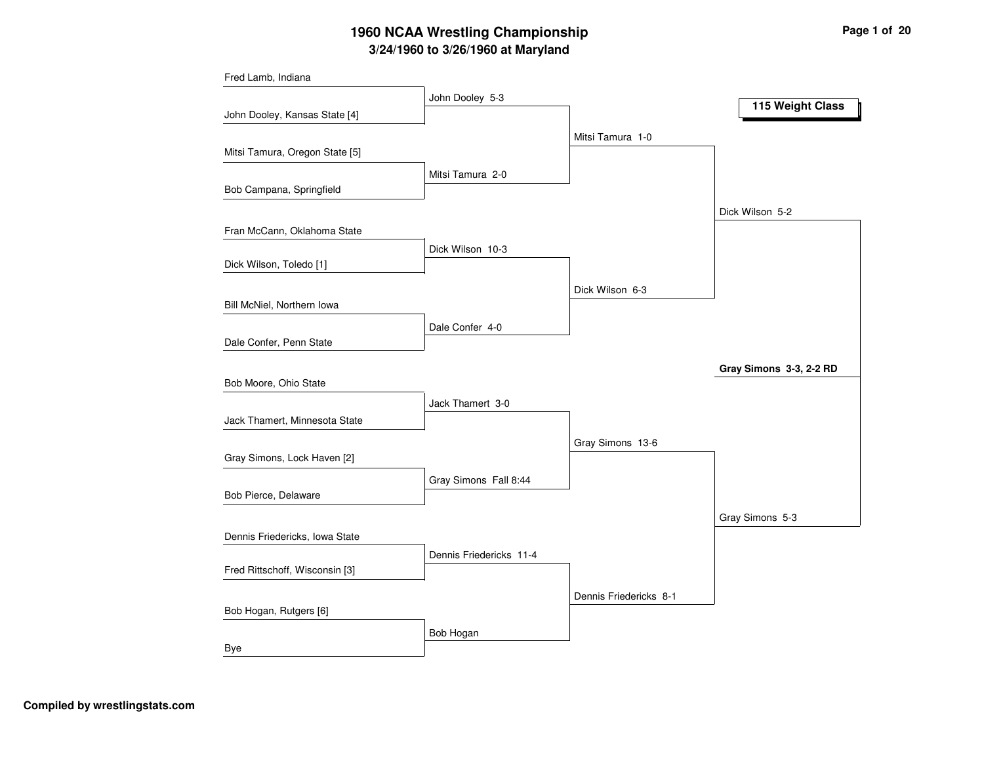# **3/24/1960 to 3/26/1960 at Maryland 1960 NCAA Wrestling Championship Page <sup>1</sup> of <sup>20</sup>**

| Fred Lamb, Indiana             |                         |                        |                         |
|--------------------------------|-------------------------|------------------------|-------------------------|
|                                | John Dooley 5-3         |                        | 115 Weight Class        |
| John Dooley, Kansas State [4]  |                         |                        |                         |
|                                |                         | Mitsi Tamura 1-0       |                         |
| Mitsi Tamura, Oregon State [5] |                         |                        |                         |
|                                | Mitsi Tamura 2-0        |                        |                         |
| Bob Campana, Springfield       |                         |                        |                         |
|                                |                         |                        | Dick Wilson 5-2         |
| Fran McCann, Oklahoma State    |                         |                        |                         |
| Dick Wilson, Toledo [1]        | Dick Wilson 10-3        |                        |                         |
|                                |                         |                        |                         |
| Bill McNiel, Northern Iowa     |                         | Dick Wilson 6-3        |                         |
|                                |                         |                        |                         |
| Dale Confer, Penn State        | Dale Confer 4-0         |                        |                         |
|                                |                         |                        |                         |
| Bob Moore, Ohio State          |                         |                        | Gray Simons 3-3, 2-2 RD |
|                                | Jack Thamert 3-0        |                        |                         |
| Jack Thamert, Minnesota State  |                         |                        |                         |
|                                |                         | Gray Simons 13-6       |                         |
| Gray Simons, Lock Haven [2]    |                         |                        |                         |
|                                | Gray Simons Fall 8:44   |                        |                         |
| Bob Pierce, Delaware           |                         |                        |                         |
|                                |                         |                        | Gray Simons 5-3         |
| Dennis Friedericks, Iowa State |                         |                        |                         |
|                                | Dennis Friedericks 11-4 |                        |                         |
| Fred Rittschoff, Wisconsin [3] |                         |                        |                         |
|                                |                         | Dennis Friedericks 8-1 |                         |
| Bob Hogan, Rutgers [6]         |                         |                        |                         |
|                                | Bob Hogan               |                        |                         |
| Bye                            |                         |                        |                         |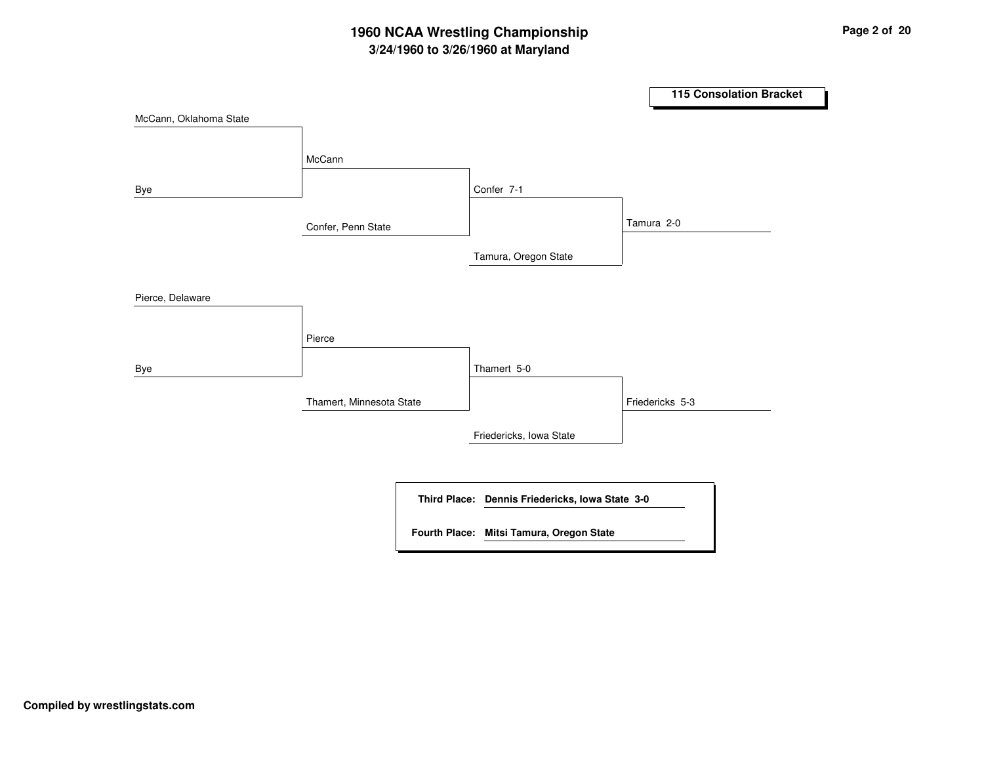# **3/24/1960 to 3/26/1960 at Maryland 1960 NCAA Wrestling Championship Page <sup>2</sup> of <sup>20</sup>**

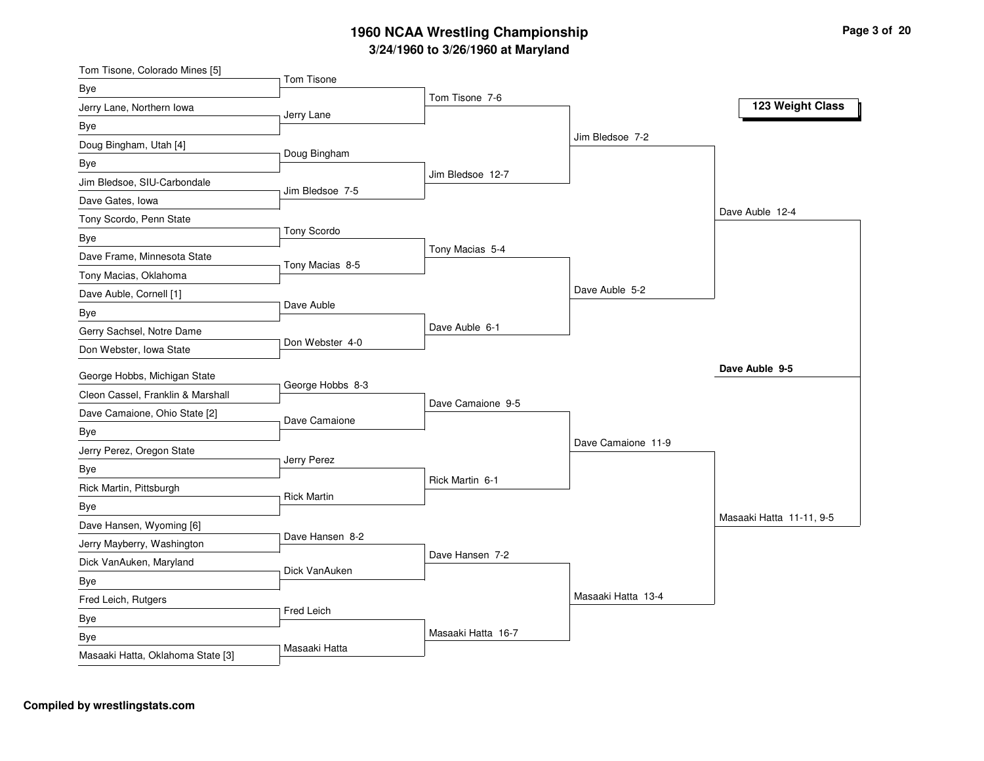| Tom Tisone, Colorado Mines [5]           |                    |                    |                    |                          |
|------------------------------------------|--------------------|--------------------|--------------------|--------------------------|
| Bye                                      | Tom Tisone         | Tom Tisone 7-6     |                    |                          |
| Jerry Lane, Northern Iowa                | Jerry Lane         |                    |                    | 123 Weight Class         |
| Bye                                      |                    |                    |                    |                          |
| Doug Bingham, Utah [4]                   |                    |                    | Jim Bledsoe 7-2    |                          |
| Bye                                      | Doug Bingham       |                    |                    |                          |
| Jim Bledsoe, SIU-Carbondale              | Jim Bledsoe 7-5    | Jim Bledsoe 12-7   |                    |                          |
| Dave Gates, Iowa                         |                    |                    |                    |                          |
| Tony Scordo, Penn State                  |                    |                    |                    | Dave Auble 12-4          |
| Bye                                      | Tony Scordo        |                    |                    |                          |
| Dave Frame, Minnesota State              |                    | Tony Macias 5-4    |                    |                          |
| Tony Macias, Oklahoma                    | Tony Macias 8-5    |                    |                    |                          |
| Dave Auble, Cornell [1]                  |                    |                    | Dave Auble 5-2     |                          |
| Bye                                      | Dave Auble         |                    |                    |                          |
| Gerry Sachsel, Notre Dame                |                    | Dave Auble 6-1     |                    |                          |
| Don Webster, Iowa State                  | Don Webster 4-0    |                    |                    |                          |
| George Hobbs, Michigan State             |                    |                    |                    | Dave Auble 9-5           |
|                                          | George Hobbs 8-3   |                    |                    |                          |
|                                          |                    |                    |                    |                          |
| Cleon Cassel, Franklin & Marshall        |                    | Dave Camaione 9-5  |                    |                          |
| Dave Camaione, Ohio State [2]            | Dave Camaione      |                    |                    |                          |
| Bye                                      |                    |                    | Dave Camaione 11-9 |                          |
| Jerry Perez, Oregon State                | Jerry Perez        |                    |                    |                          |
| Bye                                      |                    | Rick Martin 6-1    |                    |                          |
| Rick Martin, Pittsburgh                  | <b>Rick Martin</b> |                    |                    |                          |
| Bye                                      |                    |                    |                    | Masaaki Hatta 11-11, 9-5 |
| Dave Hansen, Wyoming [6]                 | Dave Hansen 8-2    |                    |                    |                          |
| Jerry Mayberry, Washington               |                    | Dave Hansen 7-2    |                    |                          |
| Dick VanAuken, Maryland                  | Dick VanAuken      |                    |                    |                          |
| Bye                                      |                    |                    |                    |                          |
| Fred Leich, Rutgers                      | Fred Leich         |                    | Masaaki Hatta 13-4 |                          |
| Bye                                      |                    |                    |                    |                          |
| Bye<br>Masaaki Hatta, Oklahoma State [3] | Masaaki Hatta      | Masaaki Hatta 16-7 |                    |                          |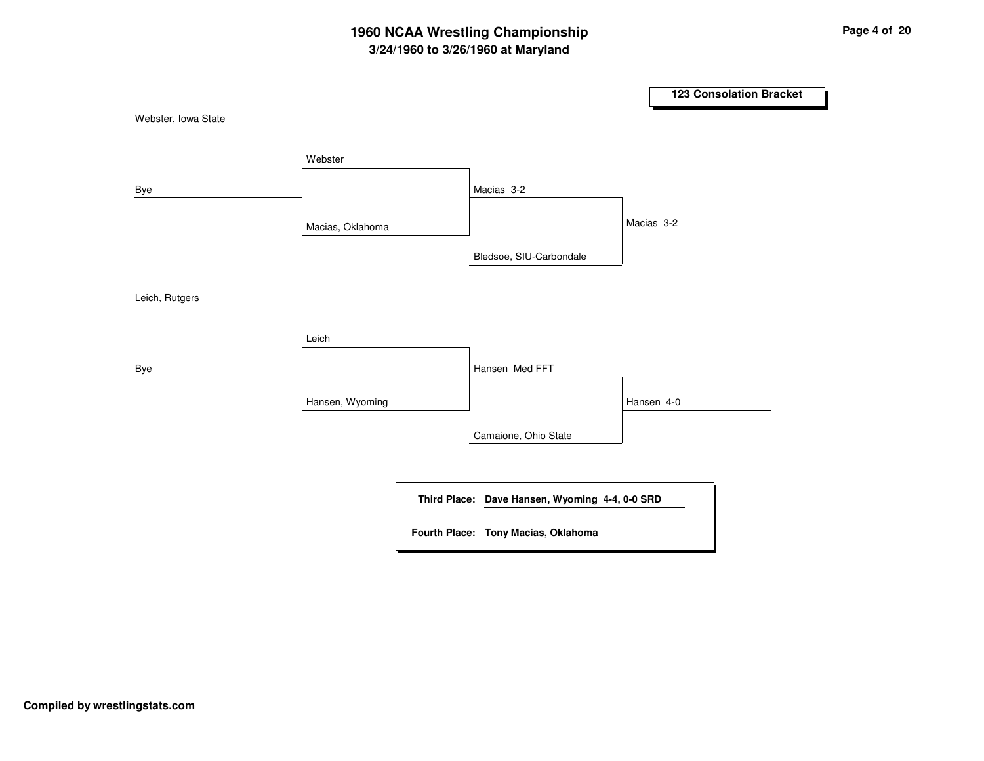# **3/24/1960 to 3/26/1960 at Maryland 1960 NCAA Wrestling Championship Page <sup>4</sup> of <sup>20</sup>**

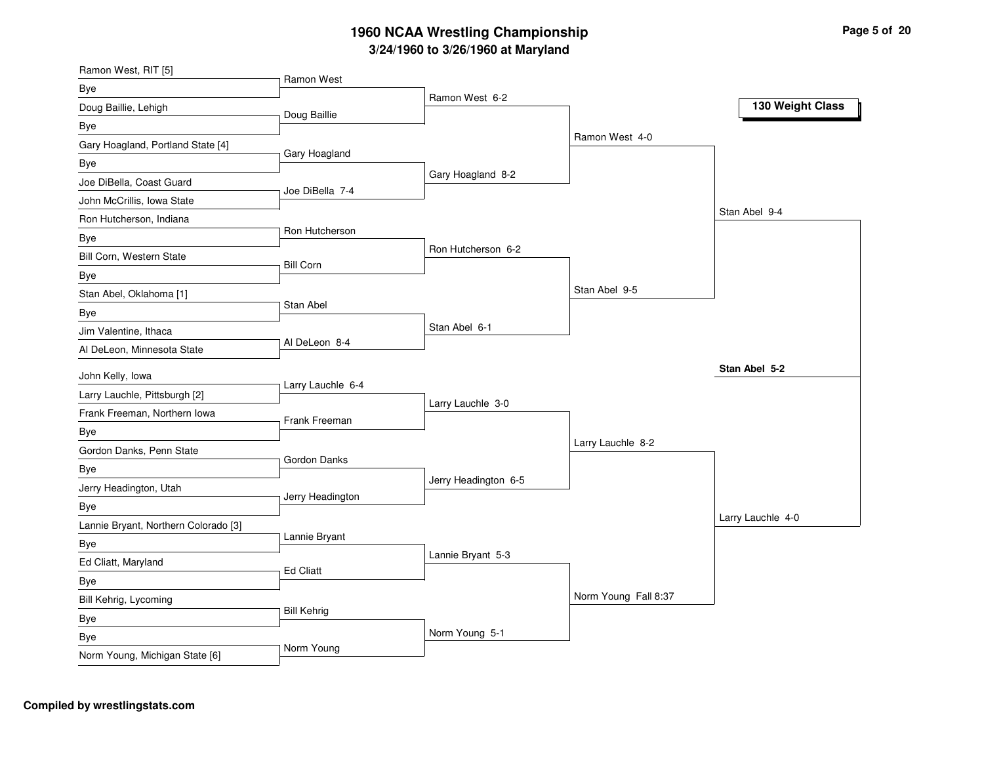| Ramon West, RIT [5]                  |                    |                      |                      |                   |
|--------------------------------------|--------------------|----------------------|----------------------|-------------------|
| Bye                                  | Ramon West         | Ramon West 6-2       |                      |                   |
| Doug Baillie, Lehigh                 | Doug Baillie       |                      |                      | 130 Weight Class  |
| Bye                                  |                    |                      |                      |                   |
| Gary Hoagland, Portland State [4]    |                    |                      | Ramon West 4-0       |                   |
| Bye                                  | Gary Hoagland      |                      |                      |                   |
| Joe DiBella, Coast Guard             |                    | Gary Hoagland 8-2    |                      |                   |
| John McCrillis, Iowa State           | Joe DiBella 7-4    |                      |                      |                   |
| Ron Hutcherson, Indiana              |                    |                      |                      | Stan Abel 9-4     |
| Bye                                  | Ron Hutcherson     |                      |                      |                   |
| Bill Corn, Western State             | <b>Bill Corn</b>   | Ron Hutcherson 6-2   |                      |                   |
| Bye                                  |                    |                      |                      |                   |
| Stan Abel, Oklahoma [1]              |                    |                      | Stan Abel 9-5        |                   |
| Bye                                  | Stan Abel          |                      |                      |                   |
| Jim Valentine, Ithaca                |                    | Stan Abel 6-1        |                      |                   |
| Al DeLeon, Minnesota State           | Al DeLeon 8-4      |                      |                      |                   |
| John Kelly, lowa                     |                    |                      |                      | Stan Abel 5-2     |
| Larry Lauchle, Pittsburgh [2]        | Larry Lauchle 6-4  |                      |                      |                   |
| Frank Freeman, Northern Iowa         |                    | Larry Lauchle 3-0    |                      |                   |
| Bye                                  | Frank Freeman      |                      |                      |                   |
| Gordon Danks, Penn State             |                    |                      | Larry Lauchle 8-2    |                   |
| Bye                                  | Gordon Danks       |                      |                      |                   |
| Jerry Headington, Utah               |                    | Jerry Headington 6-5 |                      |                   |
| Bye                                  | Jerry Headington   |                      |                      |                   |
| Lannie Bryant, Northern Colorado [3] |                    |                      |                      | Larry Lauchle 4-0 |
| Bye                                  | Lannie Bryant      |                      |                      |                   |
| Ed Cliatt, Maryland                  |                    | Lannie Bryant 5-3    |                      |                   |
|                                      | <b>Ed Cliatt</b>   |                      |                      |                   |
| Bye<br>Bill Kehrig, Lycoming         |                    |                      | Norm Young Fall 8:37 |                   |
|                                      | <b>Bill Kehrig</b> |                      |                      |                   |
| Bye                                  |                    | Norm Young 5-1       |                      |                   |
| Bye                                  | Norm Young         |                      |                      |                   |
| Norm Young, Michigan State [6]       |                    |                      |                      |                   |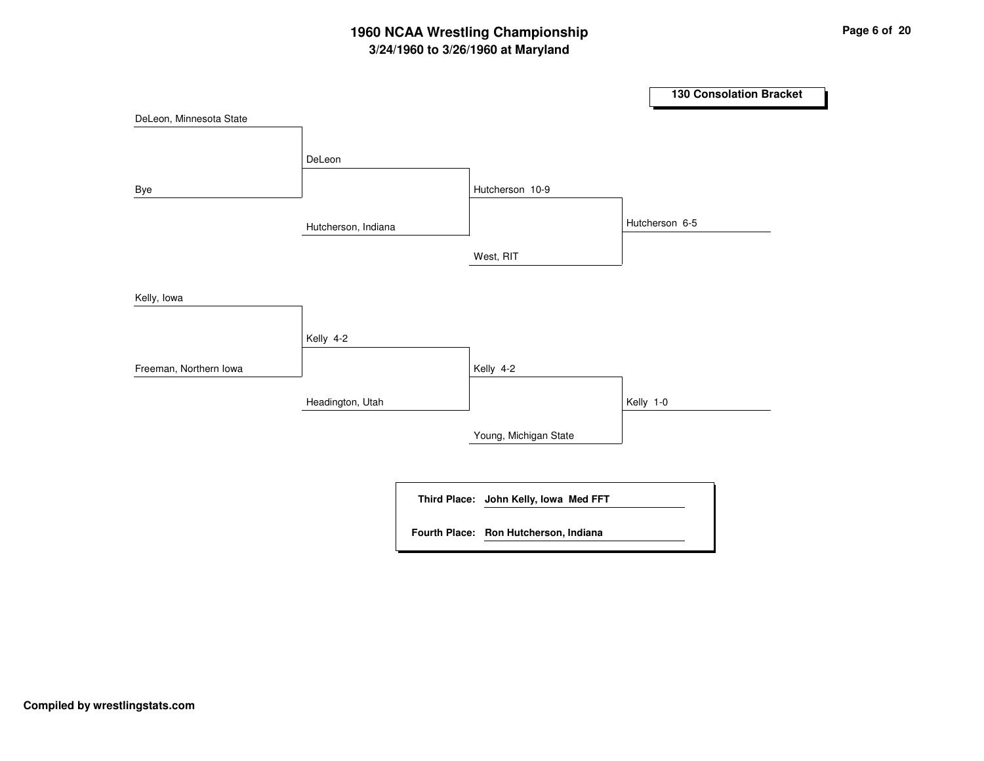# **3/24/1960 to 3/26/1960 at Maryland 1960 NCAA Wrestling Championship Page <sup>6</sup> of <sup>20</sup>**

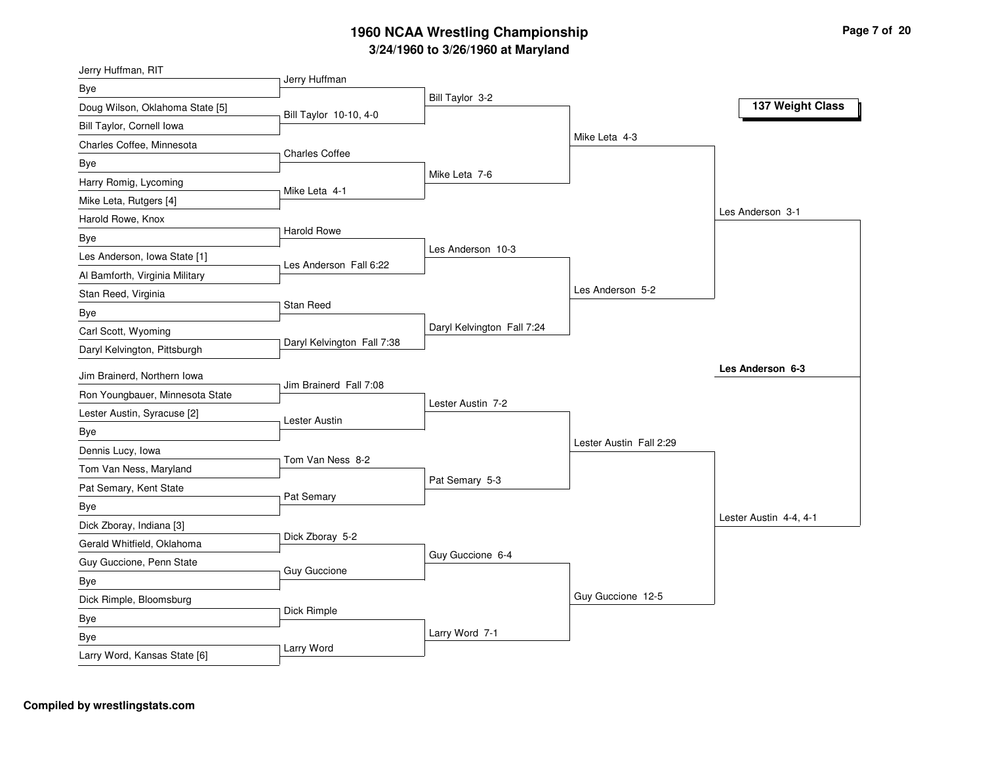| Jerry Huffman, RIT              |                            |                            |                         |                        |
|---------------------------------|----------------------------|----------------------------|-------------------------|------------------------|
| Bye                             | Jerry Huffman              |                            |                         |                        |
| Doug Wilson, Oklahoma State [5] | Bill Taylor 10-10, 4-0     | Bill Taylor 3-2            |                         | 137 Weight Class       |
| Bill Taylor, Cornell Iowa       |                            |                            |                         |                        |
| Charles Coffee, Minnesota       |                            |                            | Mike Leta 4-3           |                        |
| Bye                             | <b>Charles Coffee</b>      |                            |                         |                        |
| Harry Romig, Lycoming           |                            | Mike Leta 7-6              |                         |                        |
| Mike Leta, Rutgers [4]          | Mike Leta 4-1              |                            |                         |                        |
| Harold Rowe, Knox               |                            |                            |                         | Les Anderson 3-1       |
| Bye                             | Harold Rowe                |                            |                         |                        |
| Les Anderson, Iowa State [1]    | Les Anderson Fall 6:22     | Les Anderson 10-3          |                         |                        |
| Al Bamforth, Virginia Military  |                            |                            |                         |                        |
| Stan Reed, Virginia             |                            |                            | Les Anderson 5-2        |                        |
| Bye                             | Stan Reed                  |                            |                         |                        |
| Carl Scott, Wyoming             |                            | Daryl Kelvington Fall 7:24 |                         |                        |
| Daryl Kelvington, Pittsburgh    | Daryl Kelvington Fall 7:38 |                            |                         |                        |
| Jim Brainerd, Northern Iowa     |                            |                            |                         | Les Anderson 6-3       |
| Ron Youngbauer, Minnesota State | Jim Brainerd Fall 7:08     |                            |                         |                        |
| Lester Austin, Syracuse [2]     |                            | Lester Austin 7-2          |                         |                        |
| Bye                             | Lester Austin              |                            |                         |                        |
| Dennis Lucy, Iowa               |                            |                            | Lester Austin Fall 2:29 |                        |
| Tom Van Ness, Maryland          | Tom Van Ness 8-2           |                            |                         |                        |
| Pat Semary, Kent State          |                            | Pat Semary 5-3             |                         |                        |
| Bye                             | Pat Semary                 |                            |                         |                        |
| Dick Zboray, Indiana [3]        |                            |                            |                         | Lester Austin 4-4, 4-1 |
| Gerald Whitfield, Oklahoma      | Dick Zboray 5-2            |                            |                         |                        |
| Guy Guccione, Penn State        |                            | Guy Guccione 6-4           |                         |                        |
| Bye                             | <b>Guy Guccione</b>        |                            |                         |                        |
| Dick Rimple, Bloomsburg         |                            |                            | Guy Guccione 12-5       |                        |
| Bye                             | Dick Rimple                |                            |                         |                        |
| Bye                             |                            | Larry Word 7-1             |                         |                        |
| Larry Word, Kansas State [6]    | Larry Word                 |                            |                         |                        |
|                                 |                            |                            |                         |                        |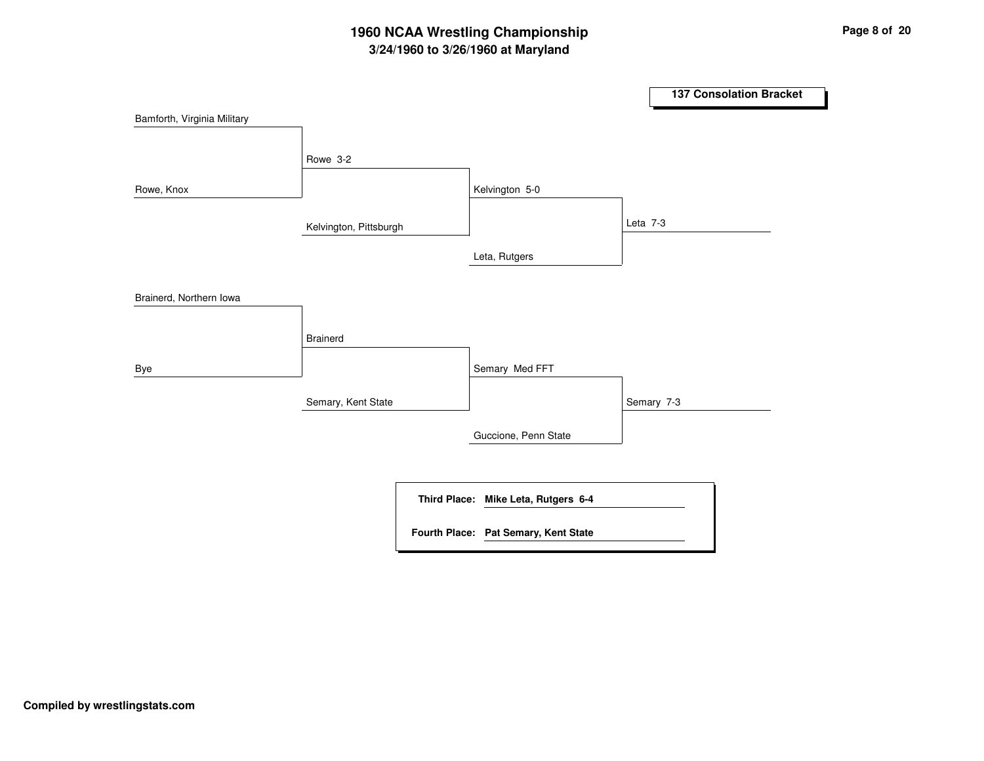# **3/24/1960 to 3/26/1960 at Maryland 1960 NCAA Wrestling Championship Page <sup>8</sup> of <sup>20</sup>**

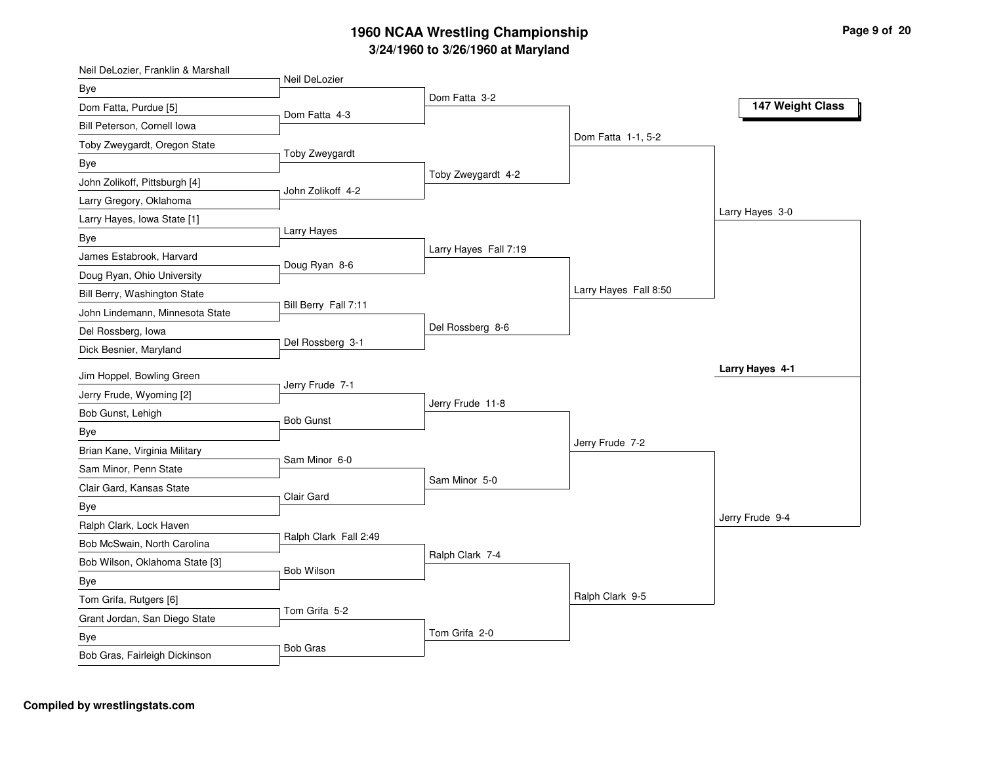| Neil DeLozier<br>Bye<br>Dom Fatta 3-2<br>147 Weight Class<br>Dom Fatta 4-3<br>Dom Fatta 1-1, 5-2<br>Toby Zweygardt<br>Toby Zweygardt 4-2<br>John Zolikoff 4-2<br>Larry Hayes 3-0<br>Larry Hayes<br>Larry Hayes Fall 7:19<br>James Estabrook, Harvard<br>Doug Ryan 8-6<br>Larry Hayes Fall 8:50<br>Bill Berry Fall 7:11<br>Del Rossberg 8-6<br>Del Rossberg 3-1<br>Larry Hayes 4-1<br>Jim Hoppel, Bowling Green<br>Jerry Frude 7-1<br>Jerry Frude, Wyoming [2]<br>Jerry Frude 11-8<br>Bob Gunst, Lehigh<br><b>Bob Gunst</b><br>Bye<br>Jerry Frude 7-2<br>Brian Kane, Virginia Military<br>Sam Minor 6-0<br>Sam Minor, Penn State<br>Sam Minor 5-0<br>Clair Gard, Kansas State<br>Clair Gard<br>Bye<br>Jerry Frude 9-4<br>Ralph Clark, Lock Haven<br>Ralph Clark Fall 2:49<br>Bob McSwain, North Carolina<br>Ralph Clark 7-4<br>Bob Wilson, Oklahoma State [3]<br>Bob Wilson<br>Bye<br>Ralph Clark 9-5<br>Tom Grifa, Rutgers [6] | Neil DeLozier, Franklin & Marshall |  |  |
|--------------------------------------------------------------------------------------------------------------------------------------------------------------------------------------------------------------------------------------------------------------------------------------------------------------------------------------------------------------------------------------------------------------------------------------------------------------------------------------------------------------------------------------------------------------------------------------------------------------------------------------------------------------------------------------------------------------------------------------------------------------------------------------------------------------------------------------------------------------------------------------------------------------------------------|------------------------------------|--|--|
|                                                                                                                                                                                                                                                                                                                                                                                                                                                                                                                                                                                                                                                                                                                                                                                                                                                                                                                                |                                    |  |  |
|                                                                                                                                                                                                                                                                                                                                                                                                                                                                                                                                                                                                                                                                                                                                                                                                                                                                                                                                | Dom Fatta, Purdue [5]              |  |  |
|                                                                                                                                                                                                                                                                                                                                                                                                                                                                                                                                                                                                                                                                                                                                                                                                                                                                                                                                | Bill Peterson, Cornell Iowa        |  |  |
|                                                                                                                                                                                                                                                                                                                                                                                                                                                                                                                                                                                                                                                                                                                                                                                                                                                                                                                                | Toby Zweygardt, Oregon State       |  |  |
|                                                                                                                                                                                                                                                                                                                                                                                                                                                                                                                                                                                                                                                                                                                                                                                                                                                                                                                                | <b>Bye</b>                         |  |  |
|                                                                                                                                                                                                                                                                                                                                                                                                                                                                                                                                                                                                                                                                                                                                                                                                                                                                                                                                | John Zolikoff, Pittsburgh [4]      |  |  |
|                                                                                                                                                                                                                                                                                                                                                                                                                                                                                                                                                                                                                                                                                                                                                                                                                                                                                                                                | Larry Gregory, Oklahoma            |  |  |
|                                                                                                                                                                                                                                                                                                                                                                                                                                                                                                                                                                                                                                                                                                                                                                                                                                                                                                                                | Larry Hayes, Iowa State [1]        |  |  |
|                                                                                                                                                                                                                                                                                                                                                                                                                                                                                                                                                                                                                                                                                                                                                                                                                                                                                                                                | Bye                                |  |  |
|                                                                                                                                                                                                                                                                                                                                                                                                                                                                                                                                                                                                                                                                                                                                                                                                                                                                                                                                |                                    |  |  |
|                                                                                                                                                                                                                                                                                                                                                                                                                                                                                                                                                                                                                                                                                                                                                                                                                                                                                                                                | Doug Ryan, Ohio University         |  |  |
|                                                                                                                                                                                                                                                                                                                                                                                                                                                                                                                                                                                                                                                                                                                                                                                                                                                                                                                                | Bill Berry, Washington State       |  |  |
|                                                                                                                                                                                                                                                                                                                                                                                                                                                                                                                                                                                                                                                                                                                                                                                                                                                                                                                                | John Lindemann, Minnesota State    |  |  |
|                                                                                                                                                                                                                                                                                                                                                                                                                                                                                                                                                                                                                                                                                                                                                                                                                                                                                                                                | Del Rossberg, Iowa                 |  |  |
|                                                                                                                                                                                                                                                                                                                                                                                                                                                                                                                                                                                                                                                                                                                                                                                                                                                                                                                                | Dick Besnier, Maryland             |  |  |
|                                                                                                                                                                                                                                                                                                                                                                                                                                                                                                                                                                                                                                                                                                                                                                                                                                                                                                                                |                                    |  |  |
|                                                                                                                                                                                                                                                                                                                                                                                                                                                                                                                                                                                                                                                                                                                                                                                                                                                                                                                                |                                    |  |  |
|                                                                                                                                                                                                                                                                                                                                                                                                                                                                                                                                                                                                                                                                                                                                                                                                                                                                                                                                |                                    |  |  |
|                                                                                                                                                                                                                                                                                                                                                                                                                                                                                                                                                                                                                                                                                                                                                                                                                                                                                                                                |                                    |  |  |
|                                                                                                                                                                                                                                                                                                                                                                                                                                                                                                                                                                                                                                                                                                                                                                                                                                                                                                                                |                                    |  |  |
|                                                                                                                                                                                                                                                                                                                                                                                                                                                                                                                                                                                                                                                                                                                                                                                                                                                                                                                                |                                    |  |  |
|                                                                                                                                                                                                                                                                                                                                                                                                                                                                                                                                                                                                                                                                                                                                                                                                                                                                                                                                |                                    |  |  |
|                                                                                                                                                                                                                                                                                                                                                                                                                                                                                                                                                                                                                                                                                                                                                                                                                                                                                                                                |                                    |  |  |
|                                                                                                                                                                                                                                                                                                                                                                                                                                                                                                                                                                                                                                                                                                                                                                                                                                                                                                                                |                                    |  |  |
|                                                                                                                                                                                                                                                                                                                                                                                                                                                                                                                                                                                                                                                                                                                                                                                                                                                                                                                                |                                    |  |  |
|                                                                                                                                                                                                                                                                                                                                                                                                                                                                                                                                                                                                                                                                                                                                                                                                                                                                                                                                |                                    |  |  |
|                                                                                                                                                                                                                                                                                                                                                                                                                                                                                                                                                                                                                                                                                                                                                                                                                                                                                                                                |                                    |  |  |
|                                                                                                                                                                                                                                                                                                                                                                                                                                                                                                                                                                                                                                                                                                                                                                                                                                                                                                                                |                                    |  |  |
| Tom Grifa 5-2                                                                                                                                                                                                                                                                                                                                                                                                                                                                                                                                                                                                                                                                                                                                                                                                                                                                                                                  | Grant Jordan, San Diego State      |  |  |
| Tom Grifa 2-0<br>Bye                                                                                                                                                                                                                                                                                                                                                                                                                                                                                                                                                                                                                                                                                                                                                                                                                                                                                                           |                                    |  |  |
| <b>Bob Gras</b><br>Bob Gras, Fairleigh Dickinson                                                                                                                                                                                                                                                                                                                                                                                                                                                                                                                                                                                                                                                                                                                                                                                                                                                                               |                                    |  |  |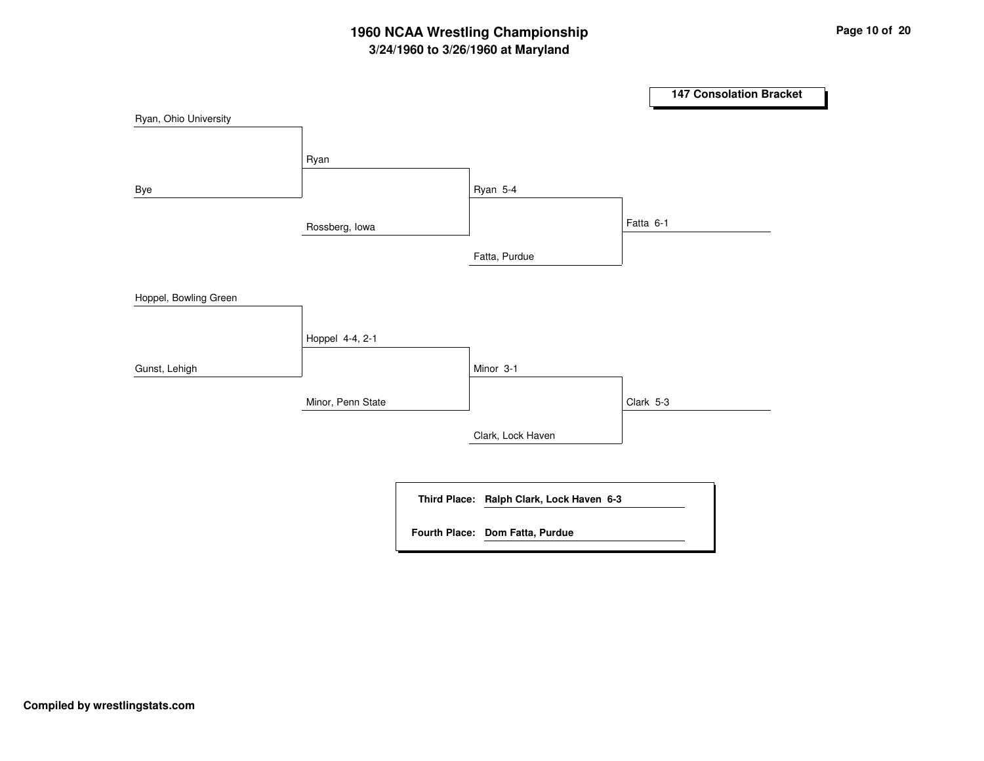# **3/24/1960 to 3/26/1960 at Maryland 1960 NCAA Wrestling Championship Page <sup>10</sup> of <sup>20</sup>**

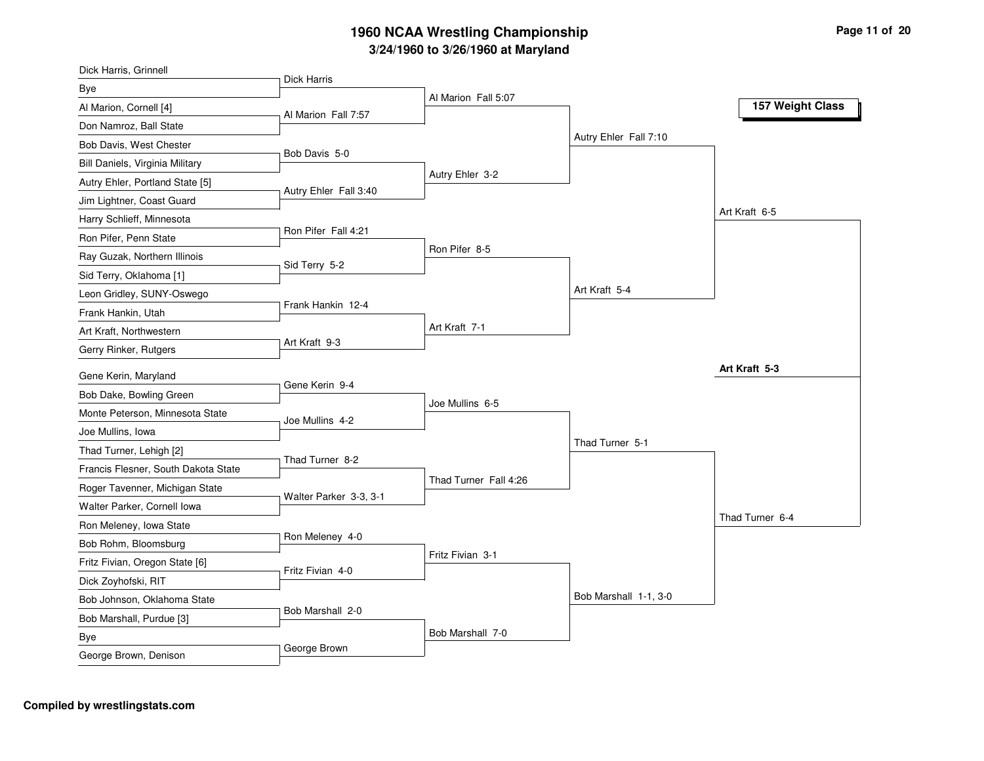| Dick Harris, Grinnell               |                        |                       |                       |                  |
|-------------------------------------|------------------------|-----------------------|-----------------------|------------------|
| Bye                                 | <b>Dick Harris</b>     |                       |                       |                  |
| Al Marion, Cornell [4]              | Al Marion Fall 7:57    | Al Marion Fall 5:07   |                       | 157 Weight Class |
| Don Namroz, Ball State              |                        |                       |                       |                  |
| Bob Davis, West Chester             |                        |                       | Autry Ehler Fall 7:10 |                  |
| Bill Daniels, Virginia Military     | Bob Davis 5-0          |                       |                       |                  |
| Autry Ehler, Portland State [5]     |                        | Autry Ehler 3-2       |                       |                  |
| Jim Lightner, Coast Guard           | Autry Ehler Fall 3:40  |                       |                       |                  |
| Harry Schlieff, Minnesota           |                        |                       |                       | Art Kraft 6-5    |
| Ron Pifer, Penn State               | Ron Pifer Fall 4:21    |                       |                       |                  |
| Ray Guzak, Northern Illinois        |                        | Ron Pifer 8-5         |                       |                  |
| Sid Terry, Oklahoma [1]             | Sid Terry 5-2          |                       |                       |                  |
| Leon Gridley, SUNY-Oswego           |                        |                       | Art Kraft 5-4         |                  |
| Frank Hankin, Utah                  | Frank Hankin 12-4      |                       |                       |                  |
| Art Kraft, Northwestern             |                        | Art Kraft 7-1         |                       |                  |
| Gerry Rinker, Rutgers               | Art Kraft 9-3          |                       |                       |                  |
| Gene Kerin, Maryland                |                        |                       |                       | Art Kraft 5-3    |
| Bob Dake, Bowling Green             | Gene Kerin 9-4         |                       |                       |                  |
| Monte Peterson, Minnesota State     |                        | Joe Mullins 6-5       |                       |                  |
| Joe Mullins, Iowa                   | Joe Mullins 4-2        |                       |                       |                  |
| Thad Turner, Lehigh [2]             |                        |                       | Thad Turner 5-1       |                  |
| Francis Flesner, South Dakota State | Thad Turner 8-2        |                       |                       |                  |
| Roger Tavenner, Michigan State      |                        | Thad Turner Fall 4:26 |                       |                  |
| Walter Parker, Cornell Iowa         | Walter Parker 3-3, 3-1 |                       |                       |                  |
| Ron Meleney, Iowa State             |                        |                       |                       | Thad Turner 6-4  |
|                                     | Ron Meleney 4-0        |                       |                       |                  |
| Bob Rohm, Bloomsburg                |                        | Fritz Fivian 3-1      |                       |                  |
| Fritz Fivian, Oregon State [6]      | Fritz Fivian 4-0       |                       |                       |                  |
| Dick Zoyhofski, RIT                 |                        |                       | Bob Marshall 1-1, 3-0 |                  |
| Bob Johnson, Oklahoma State         | Bob Marshall 2-0       |                       |                       |                  |
| Bob Marshall, Purdue [3]            |                        | Bob Marshall 7-0      |                       |                  |
| Bye                                 | George Brown           |                       |                       |                  |
| George Brown, Denison               |                        |                       |                       |                  |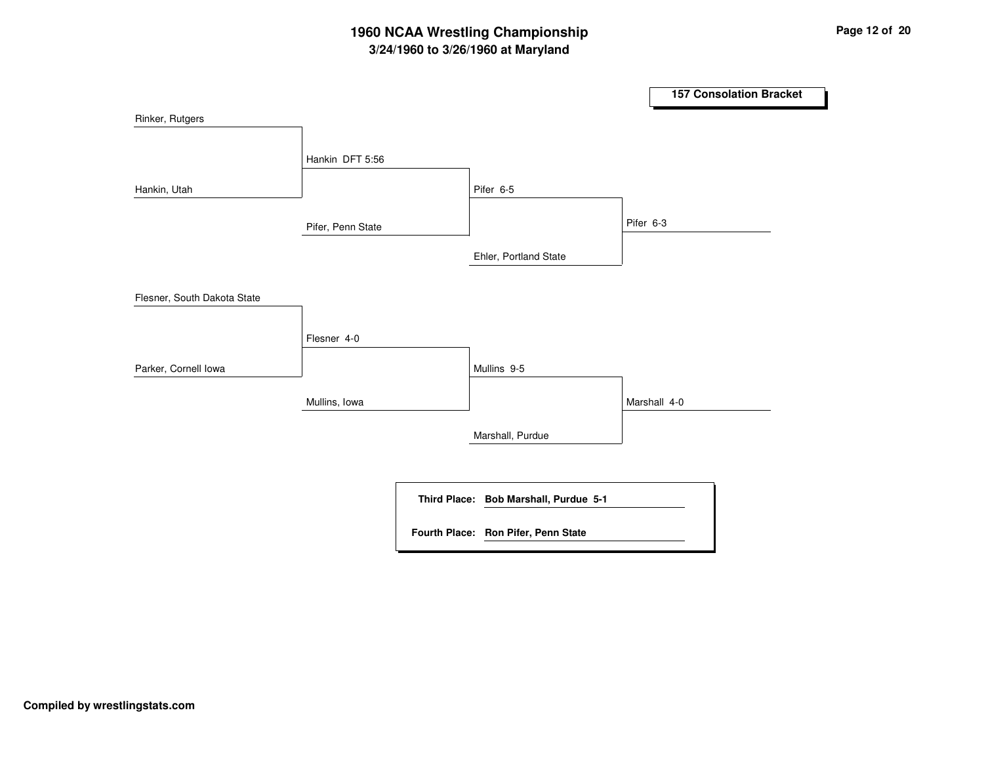# **3/24/1960 to 3/26/1960 at Maryland 1960 NCAA Wrestling Championship Page <sup>12</sup> of <sup>20</sup>**

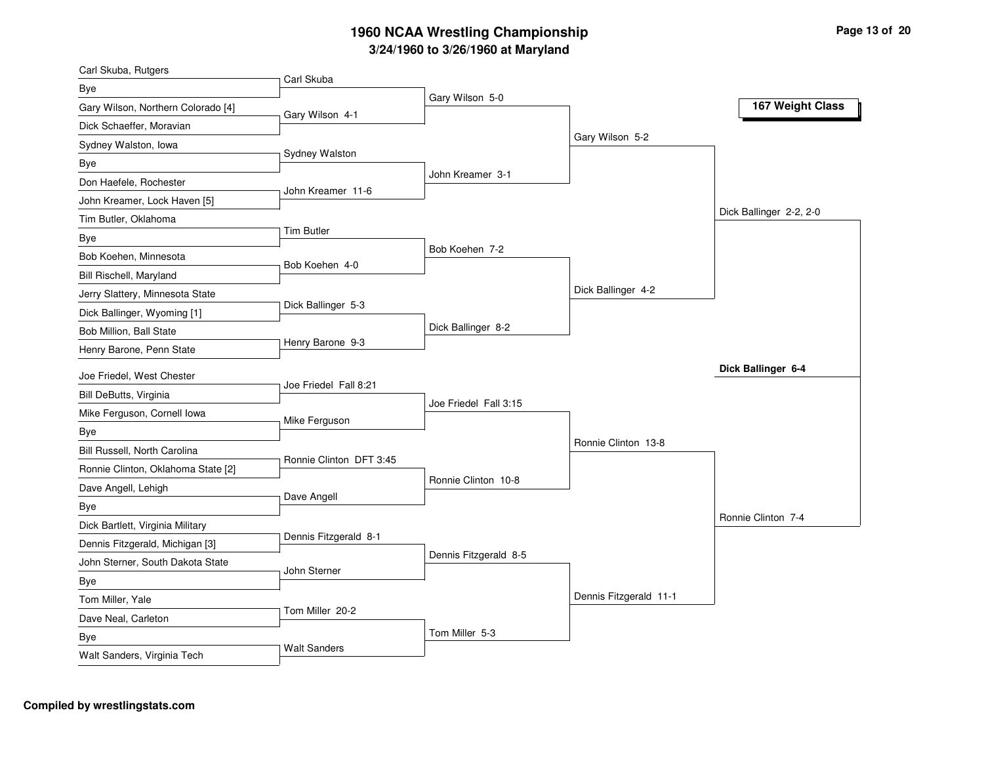| Carl Skuba, Rutgers                |                         |                       |                        |                         |
|------------------------------------|-------------------------|-----------------------|------------------------|-------------------------|
| Bye                                | Carl Skuba              | Gary Wilson 5-0       |                        |                         |
| Gary Wilson, Northern Colorado [4] | Gary Wilson 4-1         |                       |                        | 167 Weight Class        |
| Dick Schaeffer, Moravian           |                         |                       |                        |                         |
| Sydney Walston, Iowa               |                         |                       | Gary Wilson 5-2        |                         |
| Bye                                | Sydney Walston          |                       |                        |                         |
| Don Haefele, Rochester             | John Kreamer 11-6       | John Kreamer 3-1      |                        |                         |
| John Kreamer, Lock Haven [5]       |                         |                       |                        |                         |
| Tim Butler, Oklahoma               |                         |                       |                        | Dick Ballinger 2-2, 2-0 |
| Bye                                | <b>Tim Butler</b>       |                       |                        |                         |
| Bob Koehen, Minnesota              | Bob Koehen 4-0          | Bob Koehen 7-2        |                        |                         |
| Bill Rischell, Maryland            |                         |                       |                        |                         |
| Jerry Slattery, Minnesota State    |                         |                       | Dick Ballinger 4-2     |                         |
| Dick Ballinger, Wyoming [1]        | Dick Ballinger 5-3      |                       |                        |                         |
| Bob Million, Ball State            |                         | Dick Ballinger 8-2    |                        |                         |
| Henry Barone, Penn State           | Henry Barone 9-3        |                       |                        |                         |
| Joe Friedel, West Chester          |                         |                       |                        | Dick Ballinger 6-4      |
| Bill DeButts, Virginia             | Joe Friedel Fall 8:21   |                       |                        |                         |
| Mike Ferguson, Cornell Iowa        |                         | Joe Friedel Fall 3:15 |                        |                         |
| Bye                                | Mike Ferguson           |                       |                        |                         |
| Bill Russell, North Carolina       |                         |                       | Ronnie Clinton 13-8    |                         |
| Ronnie Clinton, Oklahoma State [2] | Ronnie Clinton DFT 3:45 |                       |                        |                         |
| Dave Angell, Lehigh                |                         | Ronnie Clinton 10-8   |                        |                         |
| Bye                                | Dave Angell             |                       |                        |                         |
| Dick Bartlett, Virginia Military   |                         |                       |                        | Ronnie Clinton 7-4      |
| Dennis Fitzgerald, Michigan [3]    | Dennis Fitzgerald 8-1   |                       |                        |                         |
| John Sterner, South Dakota State   |                         | Dennis Fitzgerald 8-5 |                        |                         |
| Bye                                | John Sterner            |                       |                        |                         |
| Tom Miller, Yale                   |                         |                       | Dennis Fitzgerald 11-1 |                         |
| Dave Neal, Carleton                | Tom Miller 20-2         |                       |                        |                         |
| Bye                                |                         | Tom Miller 5-3        |                        |                         |
| Walt Sanders, Virginia Tech        | <b>Walt Sanders</b>     |                       |                        |                         |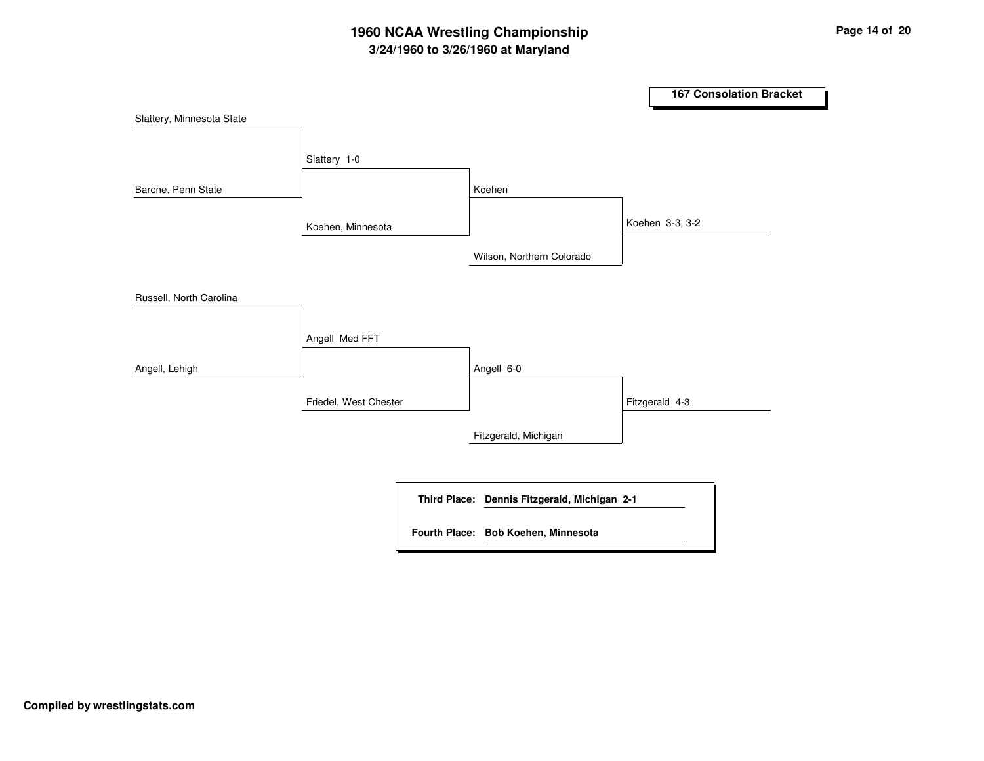# **3/24/1960 to 3/26/1960 at Maryland 1960 NCAA Wrestling Championship Page <sup>14</sup> of <sup>20</sup>**

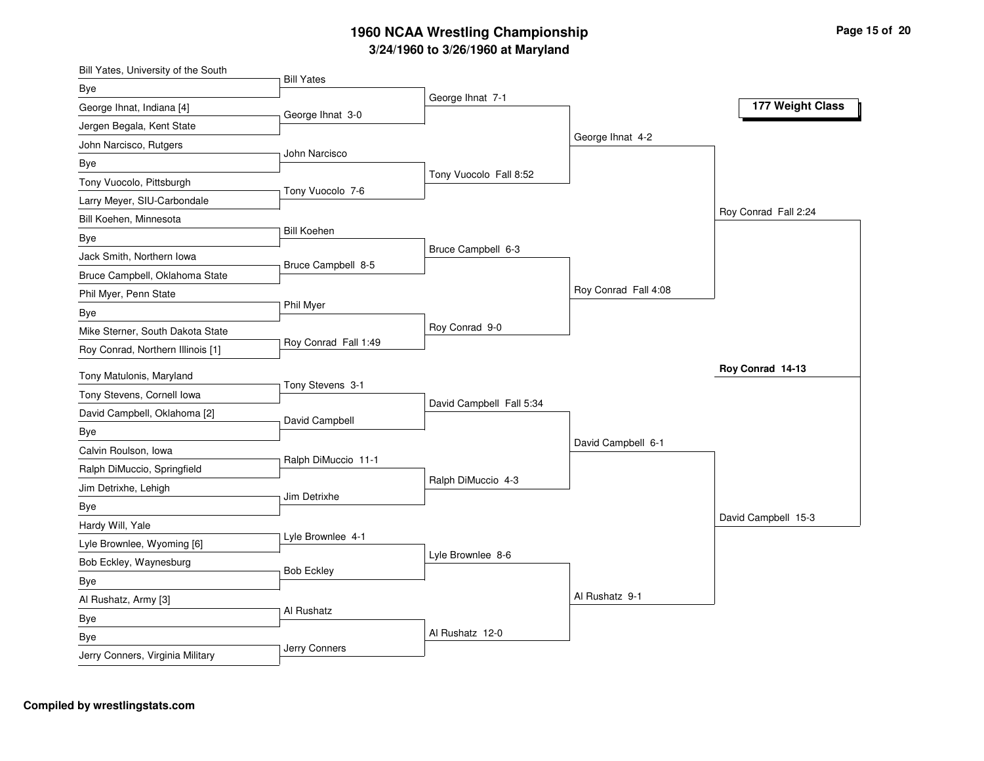| Bill Yates, University of the South     | <b>Bill Yates</b>    |                          |                      |                      |
|-----------------------------------------|----------------------|--------------------------|----------------------|----------------------|
| Bye                                     |                      | George Ihnat 7-1         |                      |                      |
| George Ihnat, Indiana [4]               | George Ihnat 3-0     |                          |                      | 177 Weight Class     |
| Jergen Begala, Kent State               |                      |                          |                      |                      |
| John Narcisco, Rutgers                  | John Narcisco        |                          | George Ihnat 4-2     |                      |
| Bye                                     |                      |                          |                      |                      |
| Tony Vuocolo, Pittsburgh                | Tony Vuocolo 7-6     | Tony Vuocolo Fall 8:52   |                      |                      |
| Larry Meyer, SIU-Carbondale             |                      |                          |                      |                      |
| Bill Koehen, Minnesota                  |                      |                          |                      | Roy Conrad Fall 2:24 |
| Bye                                     | <b>Bill Koehen</b>   |                          |                      |                      |
| Jack Smith, Northern Iowa               | Bruce Campbell 8-5   | Bruce Campbell 6-3       |                      |                      |
| Bruce Campbell, Oklahoma State          |                      |                          |                      |                      |
| Phil Myer, Penn State                   |                      |                          | Roy Conrad Fall 4:08 |                      |
| Bye                                     | Phil Myer            |                          |                      |                      |
| Mike Sterner, South Dakota State        |                      | Roy Conrad 9-0           |                      |                      |
| Roy Conrad, Northern Illinois [1]       | Roy Conrad Fall 1:49 |                          |                      |                      |
|                                         |                      |                          |                      | Roy Conrad 14-13     |
|                                         |                      |                          |                      |                      |
| Tony Matulonis, Maryland                | Tony Stevens 3-1     |                          |                      |                      |
| Tony Stevens, Cornell Iowa              |                      | David Campbell Fall 5:34 |                      |                      |
| David Campbell, Oklahoma [2]            | David Campbell       |                          |                      |                      |
| Bye                                     |                      |                          | David Campbell 6-1   |                      |
| Calvin Roulson, Iowa                    | Ralph DiMuccio 11-1  |                          |                      |                      |
| Ralph DiMuccio, Springfield             |                      | Ralph DiMuccio 4-3       |                      |                      |
| Jim Detrixhe, Lehigh                    | Jim Detrixhe         |                          |                      |                      |
| Bye                                     |                      |                          |                      | David Campbell 15-3  |
| Hardy Will, Yale                        | Lyle Brownlee 4-1    |                          |                      |                      |
| Lyle Brownlee, Wyoming [6]              |                      | Lyle Brownlee 8-6        |                      |                      |
| Bob Eckley, Waynesburg                  | <b>Bob Eckley</b>    |                          |                      |                      |
| Bye                                     |                      |                          | Al Rushatz 9-1       |                      |
| Al Rushatz, Army [3]                    | Al Rushatz           |                          |                      |                      |
| Bye                                     |                      | Al Rushatz 12-0          |                      |                      |
| Bye<br>Jerry Conners, Virginia Military | Jerry Conners        |                          |                      |                      |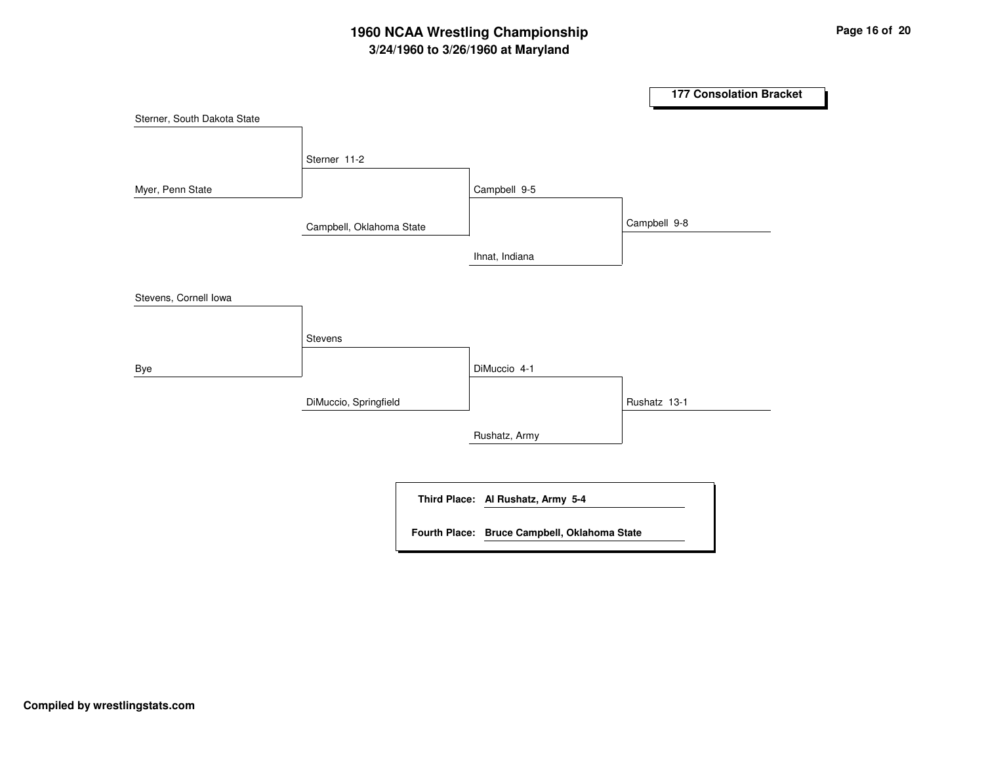# **3/24/1960 to 3/26/1960 at Maryland 1960 NCAA Wrestling Championship Page <sup>16</sup> of <sup>20</sup>**

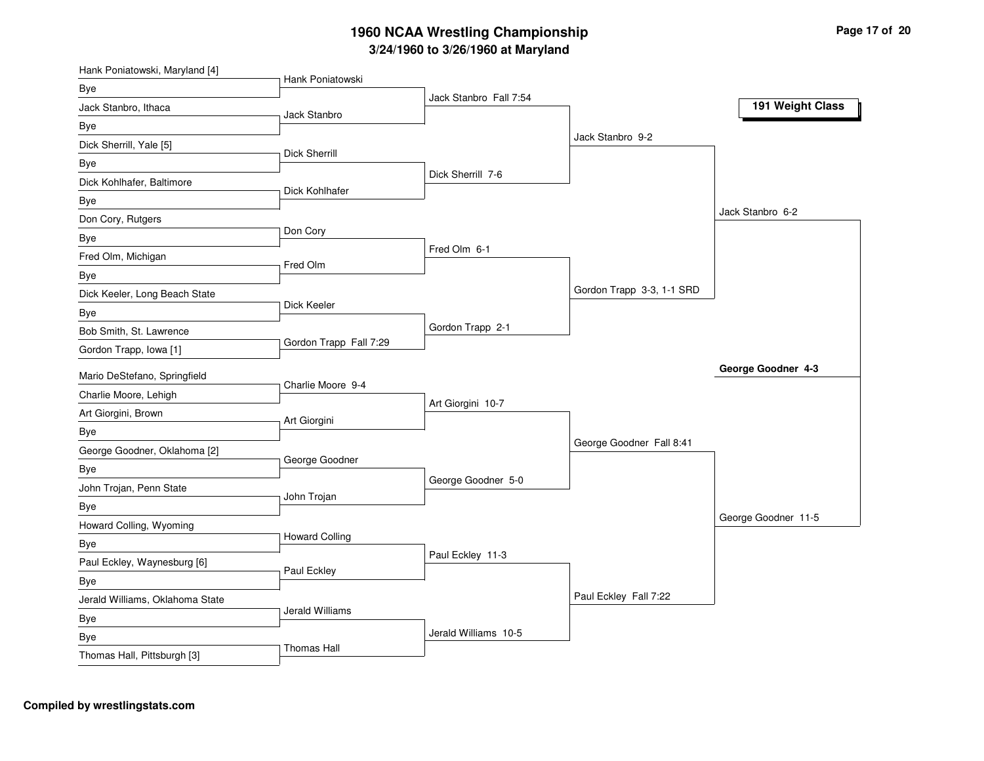| Bye<br>Jack Stanbro Fall 7:54<br>191 Weight Class<br>Jack Stanbro, Ithaca<br>Jack Stanbro<br>Bye<br>Jack Stanbro 9-2<br>Dick Sherrill, Yale [5]<br>Dick Sherrill<br>Bye<br>Dick Sherrill 7-6<br>Dick Kohlhafer, Baltimore<br>Dick Kohlhafer<br>Bye<br>Jack Stanbro 6-2<br>Don Cory, Rutgers<br>Don Cory<br>Bye<br>Fred Olm 6-1<br>Fred Olm, Michigan<br>Fred Olm<br>Bye<br>Gordon Trapp 3-3, 1-1 SRD<br>Dick Keeler, Long Beach State<br>Dick Keeler<br>Bye<br>Gordon Trapp 2-1<br>Bob Smith, St. Lawrence<br>Gordon Trapp Fall 7:29<br>Gordon Trapp, Iowa [1]<br>George Goodner 4-3<br>Mario DeStefano, Springfield<br>Charlie Moore 9-4<br>Charlie Moore, Lehigh<br>Art Giorgini 10-7<br>Art Giorgini, Brown<br>Art Giorgini<br>Bye<br>George Goodner Fall 8:41<br>George Goodner, Oklahoma [2]<br>George Goodner<br>Bye<br>George Goodner 5-0<br>John Trojan, Penn State<br>John Trojan<br>Bye<br>George Goodner 11-5<br>Howard Colling, Wyoming<br><b>Howard Colling</b><br>Bye<br>Paul Eckley 11-3<br>Paul Eckley, Waynesburg [6]<br>Paul Eckley<br>Bye<br>Paul Eckley Fall 7:22<br>Jerald Williams, Oklahoma State<br>Jerald Williams<br>Bye<br>Jerald Williams 10-5<br>Bye<br><b>Thomas Hall</b> | Hank Poniatowski, Maryland [4] | Hank Poniatowski |  |  |
|---------------------------------------------------------------------------------------------------------------------------------------------------------------------------------------------------------------------------------------------------------------------------------------------------------------------------------------------------------------------------------------------------------------------------------------------------------------------------------------------------------------------------------------------------------------------------------------------------------------------------------------------------------------------------------------------------------------------------------------------------------------------------------------------------------------------------------------------------------------------------------------------------------------------------------------------------------------------------------------------------------------------------------------------------------------------------------------------------------------------------------------------------------------------------------------------------------|--------------------------------|------------------|--|--|
|                                                                                                                                                                                                                                                                                                                                                                                                                                                                                                                                                                                                                                                                                                                                                                                                                                                                                                                                                                                                                                                                                                                                                                                                         |                                |                  |  |  |
|                                                                                                                                                                                                                                                                                                                                                                                                                                                                                                                                                                                                                                                                                                                                                                                                                                                                                                                                                                                                                                                                                                                                                                                                         |                                |                  |  |  |
|                                                                                                                                                                                                                                                                                                                                                                                                                                                                                                                                                                                                                                                                                                                                                                                                                                                                                                                                                                                                                                                                                                                                                                                                         |                                |                  |  |  |
|                                                                                                                                                                                                                                                                                                                                                                                                                                                                                                                                                                                                                                                                                                                                                                                                                                                                                                                                                                                                                                                                                                                                                                                                         |                                |                  |  |  |
|                                                                                                                                                                                                                                                                                                                                                                                                                                                                                                                                                                                                                                                                                                                                                                                                                                                                                                                                                                                                                                                                                                                                                                                                         |                                |                  |  |  |
|                                                                                                                                                                                                                                                                                                                                                                                                                                                                                                                                                                                                                                                                                                                                                                                                                                                                                                                                                                                                                                                                                                                                                                                                         |                                |                  |  |  |
|                                                                                                                                                                                                                                                                                                                                                                                                                                                                                                                                                                                                                                                                                                                                                                                                                                                                                                                                                                                                                                                                                                                                                                                                         |                                |                  |  |  |
|                                                                                                                                                                                                                                                                                                                                                                                                                                                                                                                                                                                                                                                                                                                                                                                                                                                                                                                                                                                                                                                                                                                                                                                                         |                                |                  |  |  |
|                                                                                                                                                                                                                                                                                                                                                                                                                                                                                                                                                                                                                                                                                                                                                                                                                                                                                                                                                                                                                                                                                                                                                                                                         |                                |                  |  |  |
|                                                                                                                                                                                                                                                                                                                                                                                                                                                                                                                                                                                                                                                                                                                                                                                                                                                                                                                                                                                                                                                                                                                                                                                                         |                                |                  |  |  |
|                                                                                                                                                                                                                                                                                                                                                                                                                                                                                                                                                                                                                                                                                                                                                                                                                                                                                                                                                                                                                                                                                                                                                                                                         |                                |                  |  |  |
|                                                                                                                                                                                                                                                                                                                                                                                                                                                                                                                                                                                                                                                                                                                                                                                                                                                                                                                                                                                                                                                                                                                                                                                                         |                                |                  |  |  |
|                                                                                                                                                                                                                                                                                                                                                                                                                                                                                                                                                                                                                                                                                                                                                                                                                                                                                                                                                                                                                                                                                                                                                                                                         |                                |                  |  |  |
|                                                                                                                                                                                                                                                                                                                                                                                                                                                                                                                                                                                                                                                                                                                                                                                                                                                                                                                                                                                                                                                                                                                                                                                                         |                                |                  |  |  |
|                                                                                                                                                                                                                                                                                                                                                                                                                                                                                                                                                                                                                                                                                                                                                                                                                                                                                                                                                                                                                                                                                                                                                                                                         |                                |                  |  |  |
|                                                                                                                                                                                                                                                                                                                                                                                                                                                                                                                                                                                                                                                                                                                                                                                                                                                                                                                                                                                                                                                                                                                                                                                                         |                                |                  |  |  |
|                                                                                                                                                                                                                                                                                                                                                                                                                                                                                                                                                                                                                                                                                                                                                                                                                                                                                                                                                                                                                                                                                                                                                                                                         |                                |                  |  |  |
|                                                                                                                                                                                                                                                                                                                                                                                                                                                                                                                                                                                                                                                                                                                                                                                                                                                                                                                                                                                                                                                                                                                                                                                                         |                                |                  |  |  |
|                                                                                                                                                                                                                                                                                                                                                                                                                                                                                                                                                                                                                                                                                                                                                                                                                                                                                                                                                                                                                                                                                                                                                                                                         |                                |                  |  |  |
|                                                                                                                                                                                                                                                                                                                                                                                                                                                                                                                                                                                                                                                                                                                                                                                                                                                                                                                                                                                                                                                                                                                                                                                                         |                                |                  |  |  |
|                                                                                                                                                                                                                                                                                                                                                                                                                                                                                                                                                                                                                                                                                                                                                                                                                                                                                                                                                                                                                                                                                                                                                                                                         |                                |                  |  |  |
|                                                                                                                                                                                                                                                                                                                                                                                                                                                                                                                                                                                                                                                                                                                                                                                                                                                                                                                                                                                                                                                                                                                                                                                                         |                                |                  |  |  |
|                                                                                                                                                                                                                                                                                                                                                                                                                                                                                                                                                                                                                                                                                                                                                                                                                                                                                                                                                                                                                                                                                                                                                                                                         |                                |                  |  |  |
|                                                                                                                                                                                                                                                                                                                                                                                                                                                                                                                                                                                                                                                                                                                                                                                                                                                                                                                                                                                                                                                                                                                                                                                                         |                                |                  |  |  |
|                                                                                                                                                                                                                                                                                                                                                                                                                                                                                                                                                                                                                                                                                                                                                                                                                                                                                                                                                                                                                                                                                                                                                                                                         |                                |                  |  |  |
|                                                                                                                                                                                                                                                                                                                                                                                                                                                                                                                                                                                                                                                                                                                                                                                                                                                                                                                                                                                                                                                                                                                                                                                                         |                                |                  |  |  |
|                                                                                                                                                                                                                                                                                                                                                                                                                                                                                                                                                                                                                                                                                                                                                                                                                                                                                                                                                                                                                                                                                                                                                                                                         |                                |                  |  |  |
|                                                                                                                                                                                                                                                                                                                                                                                                                                                                                                                                                                                                                                                                                                                                                                                                                                                                                                                                                                                                                                                                                                                                                                                                         |                                |                  |  |  |
|                                                                                                                                                                                                                                                                                                                                                                                                                                                                                                                                                                                                                                                                                                                                                                                                                                                                                                                                                                                                                                                                                                                                                                                                         |                                |                  |  |  |
|                                                                                                                                                                                                                                                                                                                                                                                                                                                                                                                                                                                                                                                                                                                                                                                                                                                                                                                                                                                                                                                                                                                                                                                                         |                                |                  |  |  |
|                                                                                                                                                                                                                                                                                                                                                                                                                                                                                                                                                                                                                                                                                                                                                                                                                                                                                                                                                                                                                                                                                                                                                                                                         | Thomas Hall, Pittsburgh [3]    |                  |  |  |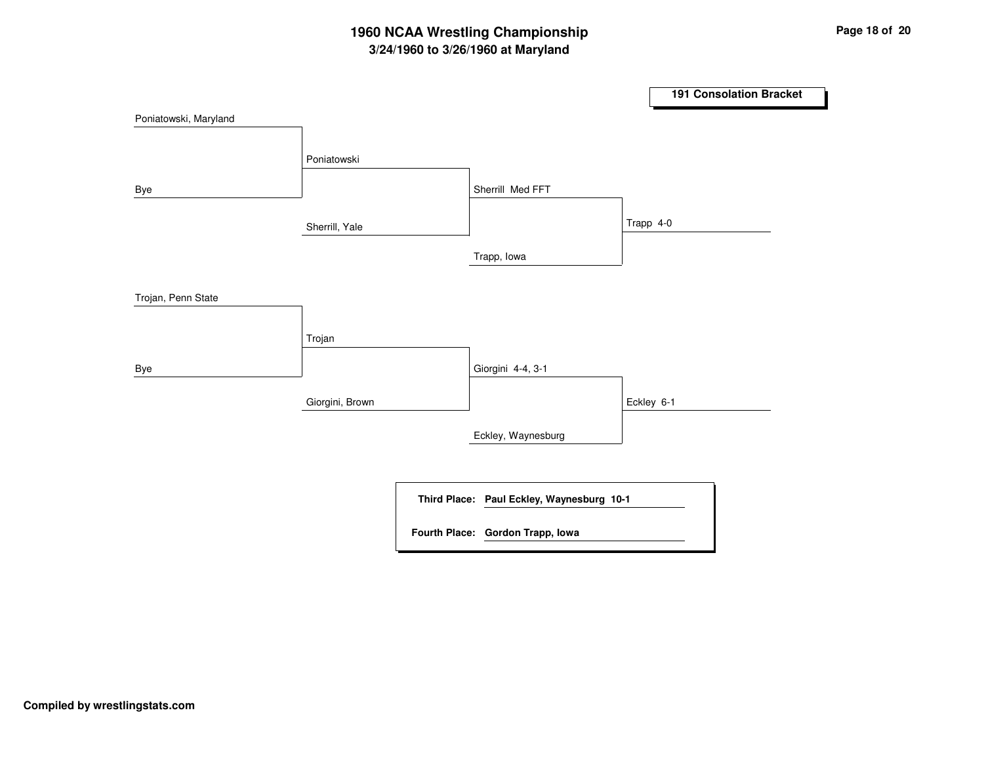# **3/24/1960 to 3/26/1960 at Maryland 1960 NCAA Wrestling Championship Page <sup>18</sup> of <sup>20</sup>**

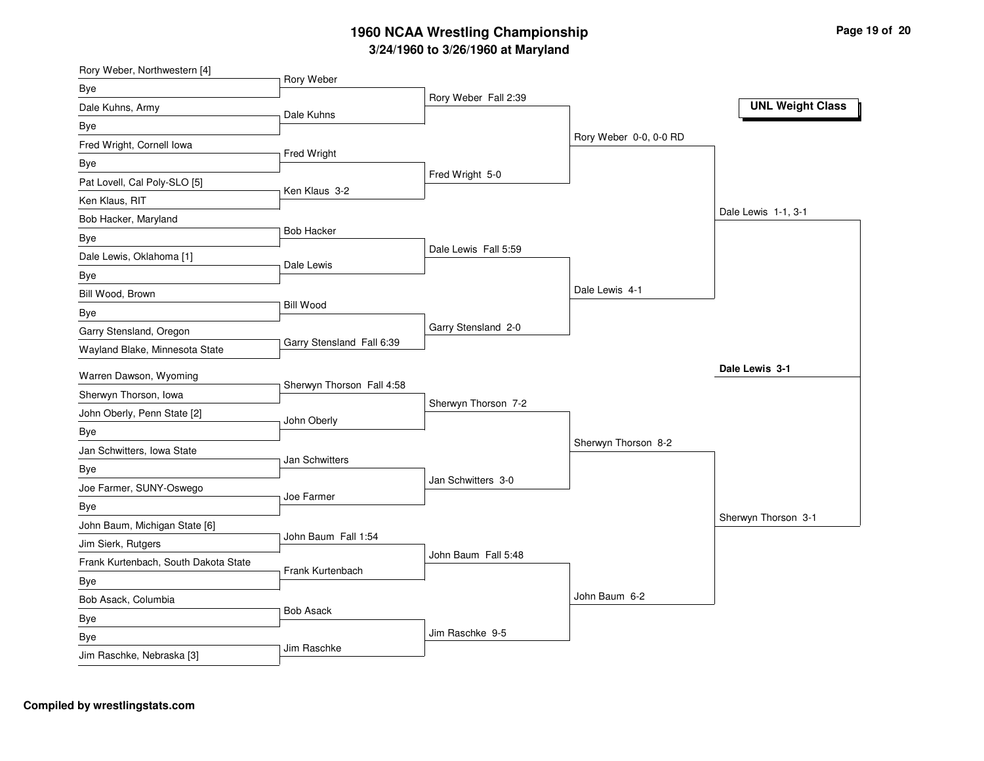| Rory Weber, Northwestern [4]         |                           |                      |                        |                         |
|--------------------------------------|---------------------------|----------------------|------------------------|-------------------------|
| Bye                                  | Rory Weber                | Rory Weber Fall 2:39 |                        |                         |
| Dale Kuhns, Army                     | Dale Kuhns                |                      |                        | <b>UNL Weight Class</b> |
| Bye                                  |                           |                      |                        |                         |
| Fred Wright, Cornell Iowa            |                           |                      | Rory Weber 0-0, 0-0 RD |                         |
| <b>Bye</b>                           | Fred Wright               |                      |                        |                         |
| Pat Lovell, Cal Poly-SLO [5]         | Ken Klaus 3-2             | Fred Wright 5-0      |                        |                         |
| Ken Klaus, RIT                       |                           |                      |                        |                         |
| Bob Hacker, Maryland                 |                           |                      |                        | Dale Lewis 1-1, 3-1     |
| Bye                                  | <b>Bob Hacker</b>         |                      |                        |                         |
| Dale Lewis, Oklahoma [1]             | Dale Lewis                | Dale Lewis Fall 5:59 |                        |                         |
| Bye                                  |                           |                      |                        |                         |
| Bill Wood, Brown                     |                           |                      | Dale Lewis 4-1         |                         |
| Bye                                  | <b>Bill Wood</b>          |                      |                        |                         |
| Garry Stensland, Oregon              |                           | Garry Stensland 2-0  |                        |                         |
| Wayland Blake, Minnesota State       | Garry Stensland Fall 6:39 |                      |                        |                         |
| Warren Dawson, Wyoming               |                           |                      |                        | Dale Lewis 3-1          |
| Sherwyn Thorson, Iowa                | Sherwyn Thorson Fall 4:58 |                      |                        |                         |
| John Oberly, Penn State [2]          |                           | Sherwyn Thorson 7-2  |                        |                         |
| Bye                                  | John Oberly               |                      |                        |                         |
| Jan Schwitters, Iowa State           |                           |                      | Sherwyn Thorson 8-2    |                         |
| <b>Bye</b>                           | Jan Schwitters            |                      |                        |                         |
| Joe Farmer, SUNY-Oswego              |                           | Jan Schwitters 3-0   |                        |                         |
| Bye                                  | Joe Farmer                |                      |                        |                         |
| John Baum, Michigan State [6]        |                           |                      |                        | Sherwyn Thorson 3-1     |
| Jim Sierk, Rutgers                   | John Baum Fall 1:54       |                      |                        |                         |
| Frank Kurtenbach, South Dakota State |                           | John Baum Fall 5:48  |                        |                         |
| Bye                                  | Frank Kurtenbach          |                      |                        |                         |
| Bob Asack, Columbia                  |                           |                      | John Baum 6-2          |                         |
| Bye                                  | <b>Bob Asack</b>          |                      |                        |                         |
| Bye                                  |                           | Jim Raschke 9-5      |                        |                         |
| Jim Raschke, Nebraska [3]            | Jim Raschke               |                      |                        |                         |